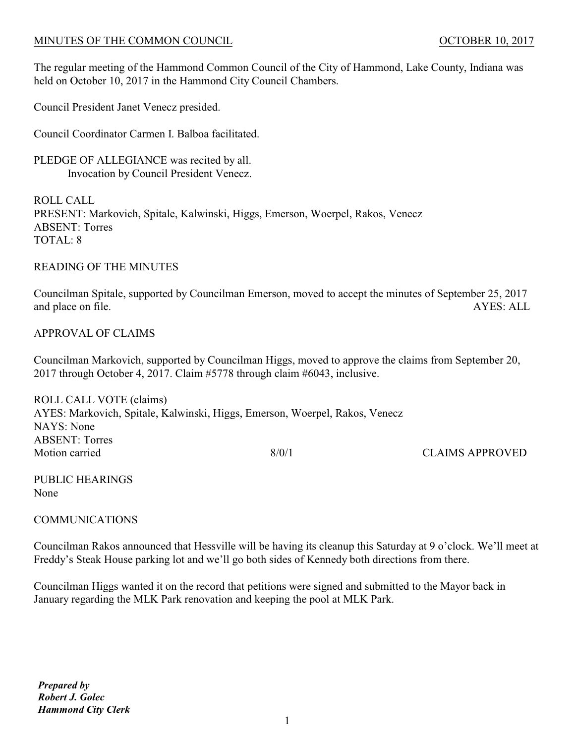### MINUTES OF THE COMMON COUNCIL **COUNCIL COUNCIL COUNCIL COUNCIL COUNCIL COUNCIL COUNCIL**

The regular meeting of the Hammond Common Council of the City of Hammond, Lake County, Indiana was held on October 10, 2017 in the Hammond City Council Chambers.

Council President Janet Venecz presided.

Council Coordinator Carmen I. Balboa facilitated.

PLEDGE OF ALLEGIANCE was recited by all. Invocation by Council President Venecz.

ROLL CALL PRESENT: Markovich, Spitale, Kalwinski, Higgs, Emerson, Woerpel, Rakos, Venecz ABSENT: Torres TOTAL: 8

### READING OF THE MINUTES

Councilman Spitale, supported by Councilman Emerson, moved to accept the minutes of September 25, 2017 and place on file. AYES: ALL

### APPROVAL OF CLAIMS

Councilman Markovich, supported by Councilman Higgs, moved to approve the claims from September 20, 2017 through October 4, 2017. Claim #5778 through claim #6043, inclusive.

ROLL CALL VOTE (claims) AYES: Markovich, Spitale, Kalwinski, Higgs, Emerson, Woerpel, Rakos, Venecz NAYS: None ABSENT: Torres Motion carried 8/0/1 CLAIMS APPROVED

PUBLIC HEARINGS None

## COMMUNICATIONS

Councilman Rakos announced that Hessville will be having its cleanup this Saturday at 9 o'clock. We'll meet at Freddy's Steak House parking lot and we'll go both sides of Kennedy both directions from there.

Councilman Higgs wanted it on the record that petitions were signed and submitted to the Mayor back in January regarding the MLK Park renovation and keeping the pool at MLK Park.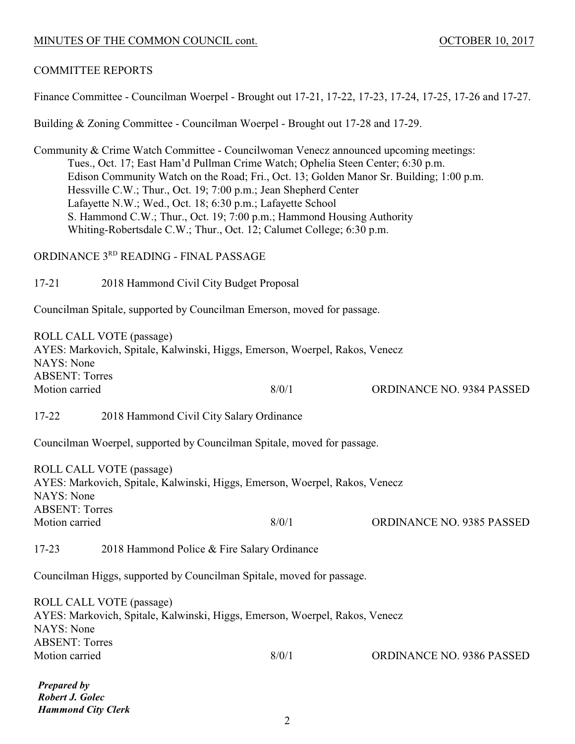### MINUTES OF THE COMMON COUNCIL cont. 0CTOBER 10, 2017

### COMMITTEE REPORTS

Finance Committee - Councilman Woerpel - Brought out 17-21, 17-22, 17-23, 17-24, 17-25, 17-26 and 17-27.

Building & Zoning Committee - Councilman Woerpel - Brought out 17-28 and 17-29.

Community & Crime Watch Committee - Councilwoman Venecz announced upcoming meetings: Tues., Oct. 17; East Ham'd Pullman Crime Watch; Ophelia Steen Center; 6:30 p.m. Edison Community Watch on the Road; Fri., Oct. 13; Golden Manor Sr. Building; 1:00 p.m. Hessville C.W.; Thur., Oct. 19; 7:00 p.m.; Jean Shepherd Center Lafayette N.W.; Wed., Oct. 18; 6:30 p.m.; Lafayette School S. Hammond C.W.; Thur., Oct. 19; 7:00 p.m.; Hammond Housing Authority Whiting-Robertsdale C.W.; Thur., Oct. 12; Calumet College; 6:30 p.m.

ORDINANCE 3RD READING - FINAL PASSAGE

17-21 2018 Hammond Civil City Budget Proposal

Councilman Spitale, supported by Councilman Emerson, moved for passage.

ROLL CALL VOTE (passage) AYES: Markovich, Spitale, Kalwinski, Higgs, Emerson, Woerpel, Rakos, Venecz NAYS: None ABSENT: Torres Motion carried 8/0/1 ORDINANCE NO. 9384 PASSED

17-22 2018 Hammond Civil City Salary Ordinance

Councilman Woerpel, supported by Councilman Spitale, moved for passage.

ROLL CALL VOTE (passage) AYES: Markovich, Spitale, Kalwinski, Higgs, Emerson, Woerpel, Rakos, Venecz NAYS: None ABSENT: Torres Motion carried 8/0/1 ORDINANCE NO. 9385 PASSED

17-23 2018 Hammond Police & Fire Salary Ordinance

Councilman Higgs, supported by Councilman Spitale, moved for passage.

ROLL CALL VOTE (passage) AYES: Markovich, Spitale, Kalwinski, Higgs, Emerson, Woerpel, Rakos, Venecz NAYS: None ABSENT: Torres Motion carried 8/0/1 ORDINANCE NO. 9386 PASSED

*Prepared by Robert J. Golec Hammond City Clerk*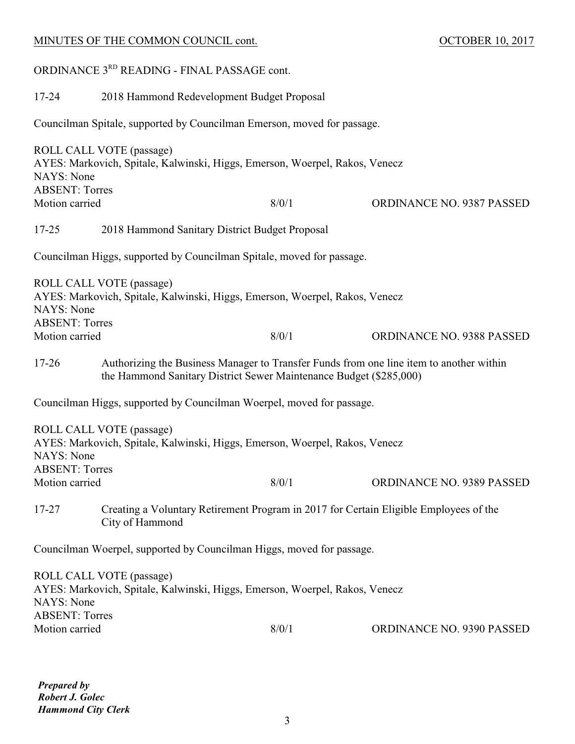# MINUTES OF THE COMMON COUNCIL cont. 0CTOBER 10, 2017 ORDINANCE 3RD READING - FINAL PASSAGE cont. 17-24 2018 Hammond Redevelopment Budget Proposal Councilman Spitale, supported by Councilman Emerson, moved for passage. ROLL CALL VOTE (passage) AYES: Markovich, Spitale, Kalwinski, Higgs, Emerson, Woerpel, Rakos, Venecz NAYS: None ABSENT: Torres Motion carried 8/0/1 ORDINANCE NO. 9387 PASSED 17-25 2018 Hammond Sanitary District Budget Proposal Councilman Higgs, supported by Councilman Spitale, moved for passage. ROLL CALL VOTE (passage) AYES: Markovich, Spitale, Kalwinski, Higgs, Emerson, Woerpel, Rakos, Venecz NAYS: None ABSENT: Torres Motion carried 8/0/1 ORDINANCE NO. 9388 PASSED 17-26 Authorizing the Business Manager to Transfer Funds from one line item to another within the Hammond Sanitary District Sewer Maintenance Budget (\$285,000)

Councilman Higgs, supported by Councilman Woerpel, moved for passage.

| ROLL CALL VOTE (passage)<br>AYES: Markovich, Spitale, Kalwinski, Higgs, Emerson, Woerpel, Rakos, Venecz<br>NAYS: None |                                                                                                          |       |                                  |  |  |
|-----------------------------------------------------------------------------------------------------------------------|----------------------------------------------------------------------------------------------------------|-------|----------------------------------|--|--|
| <b>ABSENT: Torres</b>                                                                                                 |                                                                                                          |       |                                  |  |  |
| Motion carried                                                                                                        |                                                                                                          | 8/0/1 | <b>ORDINANCE NO. 9389 PASSED</b> |  |  |
| 17-27                                                                                                                 | Creating a Voluntary Retirement Program in 2017 for Certain Eligible Employees of the<br>City of Hammond |       |                                  |  |  |
| Councilman Woerpel, supported by Councilman Higgs, moved for passage.                                                 |                                                                                                          |       |                                  |  |  |
| NAYS: None                                                                                                            | ROLL CALL VOTE (passage)<br>AYES: Markovich, Spitale, Kalwinski, Higgs, Emerson, Woerpel, Rakos, Venecz  |       |                                  |  |  |

Motion carried 8/0/1 ORDINANCE NO. 9390 PASSED

*Prepared by Robert J. Golec Hammond City Clerk*

ABSENT: Torres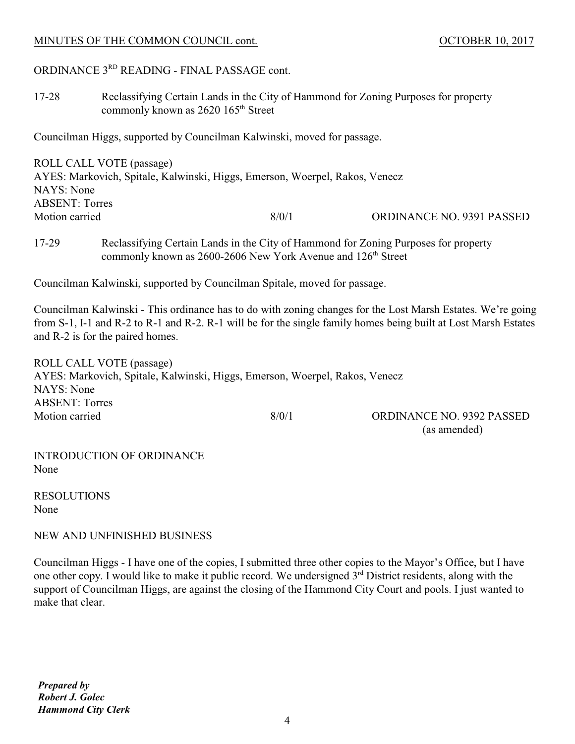### MINUTES OF THE COMMON COUNCIL cont. 0CTOBER 10, 2017

# ORDINANCE 3RD READING - FINAL PASSAGE cont.

17-28 Reclassifying Certain Lands in the City of Hammond for Zoning Purposes for property commonly known as  $2620$   $165<sup>th</sup>$  Street

Councilman Higgs, supported by Councilman Kalwinski, moved for passage.

| ROLL CALL VOTE (passage)                                                    |       |                                  |  |  |  |
|-----------------------------------------------------------------------------|-------|----------------------------------|--|--|--|
| AYES: Markovich, Spitale, Kalwinski, Higgs, Emerson, Woerpel, Rakos, Venecz |       |                                  |  |  |  |
| NAYS: None                                                                  |       |                                  |  |  |  |
| <b>ABSENT: Torres</b>                                                       |       |                                  |  |  |  |
| Motion carried                                                              | 8/0/1 | <b>ORDINANCE NO. 9391 PASSED</b> |  |  |  |
|                                                                             |       |                                  |  |  |  |

17-29 Reclassifying Certain Lands in the City of Hammond for Zoning Purposes for property commonly known as  $2600-2606$  New York Avenue and  $126<sup>th</sup>$  Street

Councilman Kalwinski, supported by Councilman Spitale, moved for passage.

Councilman Kalwinski - This ordinance has to do with zoning changes for the Lost Marsh Estates. We're going from S-1, I-1 and R-2 to R-1 and R-2. R-1 will be for the single family homes being built at Lost Marsh Estates and R-2 is for the paired homes.

ROLL CALL VOTE (passage) AYES: Markovich, Spitale, Kalwinski, Higgs, Emerson, Woerpel, Rakos, Venecz NAYS: None ABSENT: Torres Motion carried 8/0/1 ORDINANCE NO. 9392 PASSED

(as amended)

INTRODUCTION OF ORDINANCE None

RESOLUTIONS None

NEW AND UNFINISHED BUSINESS

Councilman Higgs - I have one of the copies, I submitted three other copies to the Mayor's Office, but I have one other copy. I would like to make it public record. We undersigned  $3<sup>rd</sup>$  District residents, along with the support of Councilman Higgs, are against the closing of the Hammond City Court and pools. I just wanted to make that clear.